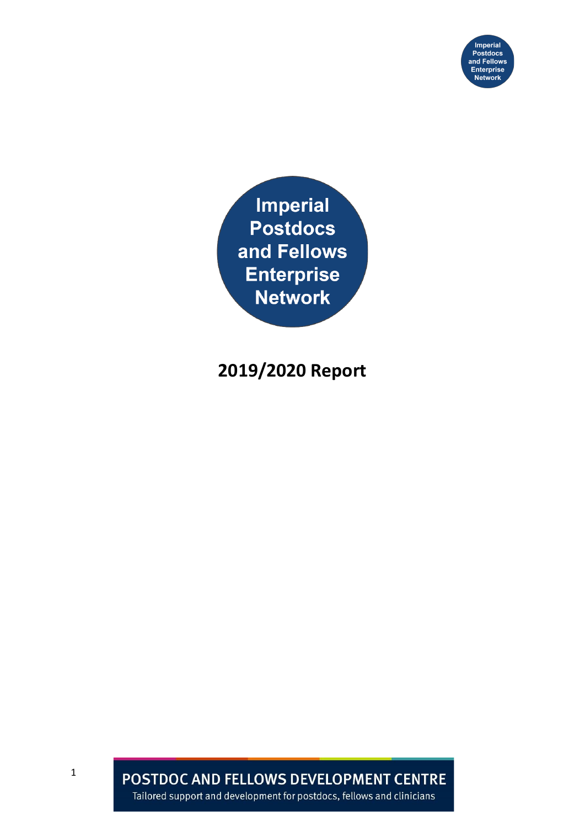

**Imperial Postdocs** and Fellows **Enterprise Network** 

# **2019/2020 Report**

POSTDOC AND FELLOWS DEVELOPMENT CENTRE Tailored support and development for postdocs, fellows and clinicians

1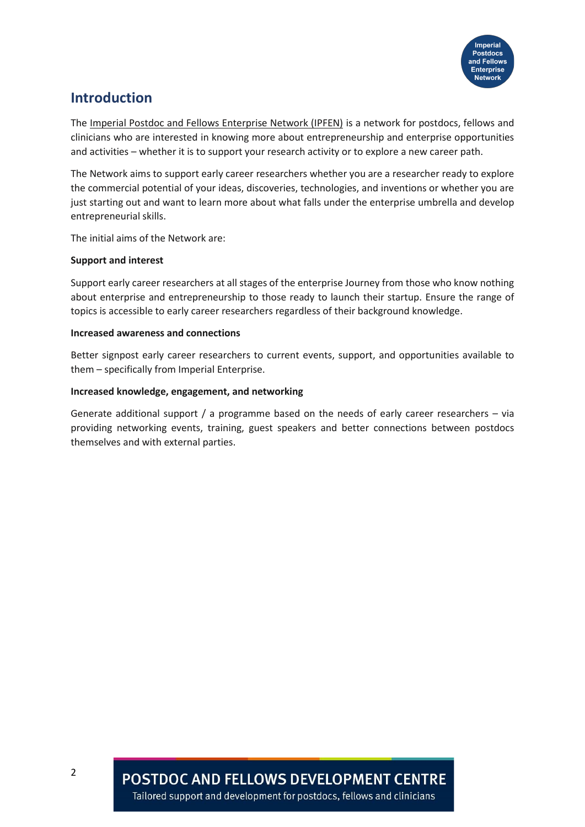

## **Introduction**

The [Imperial Postdoc and Fellows Enterprise Network \(IPFEN\)](https://www.imperial.ac.uk/postdoc-fellows-development-centre/networks-/ipfen/) is a network for postdocs, fellows and clinicians who are interested in knowing more about entrepreneurship and enterprise opportunities and activities – whether it is to support your research activity or to explore a new career path.

The Network aims to support early career researchers whether you are a researcher ready to explore the commercial potential of your ideas, discoveries, technologies, and inventions or whether you are just starting out and want to learn more about what falls under the enterprise umbrella and develop entrepreneurial skills.

The initial aims of the Network are:

#### **Support and interest**

Support early career researchers at all stages of the enterprise Journey from those who know nothing about enterprise and entrepreneurship to those ready to launch their startup. Ensure the range of topics is accessible to early career researchers regardless of their background knowledge.

#### **Increased awareness and connections**

Better signpost early career researchers to current events, support, and opportunities available to them – specifically from Imperial Enterprise.

#### **Increased knowledge, engagement, and networking**

Generate additional support / a programme based on the needs of early career researchers – via providing networking events, training, guest speakers and better connections between postdocs themselves and with external parties.

**POSTDOC AND FELLOWS DEVELOPMENT CENTRE**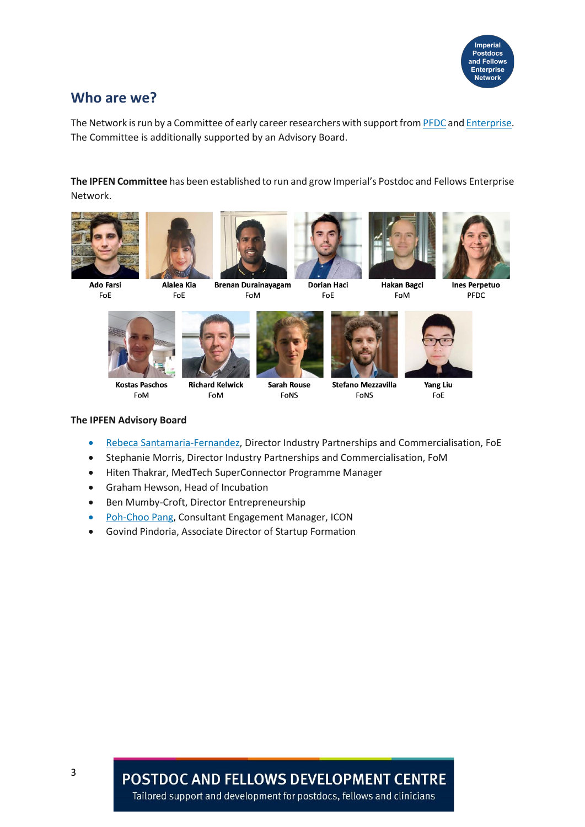

### **Who are we?**

The Network is run by a Committee of early career researchers with support fro[m PFDC](https://www.imperial.ac.uk/postdoc-fellows-development-centre/) an[d Enterprise.](https://www.imperial.ac.uk/enterprise/) The Committee is additionally supported by an Advisory Board.

**The IPFEN Committee** has been established to run and grow Imperial's Postdoc and Fellows Enterprise Network.





**Ado Farsi** FoE

**Alalea Kia** FoE









**Ines Perpetuo** PFDC



**FoM** 



**Richard Kelwick Kostas Paschos** FoM



**Sarah Rouse** FoNS



FoM

**Stefano Mezzavilla** FoNS



Yang Liu FoE

#### **The IPFEN Advisory Board**

- [Rebeca Santamaria-Fernandez,](https://www.imperial.ac.uk/people/r.santamaria-fernandez) Director Industry Partnerships and Commercialisation, FoE
- Stephanie Morris, Director Industry Partnerships and Commercialisation, FoM
- Hiten Thakrar, MedTech SuperConnector Programme Manager
- Graham Hewson, Head of Incubation
- Ben Mumby-Croft, Director Entrepreneurship
- [Poh-Choo Pang,](https://www.imperial.ac.uk/people/p.pang05) Consultant Engagement Manager, ICON
- Govind Pindoria, Associate Director of Startup Formation

**POSTDOC AND FELLOWS DEVELOPMENT CENTRE**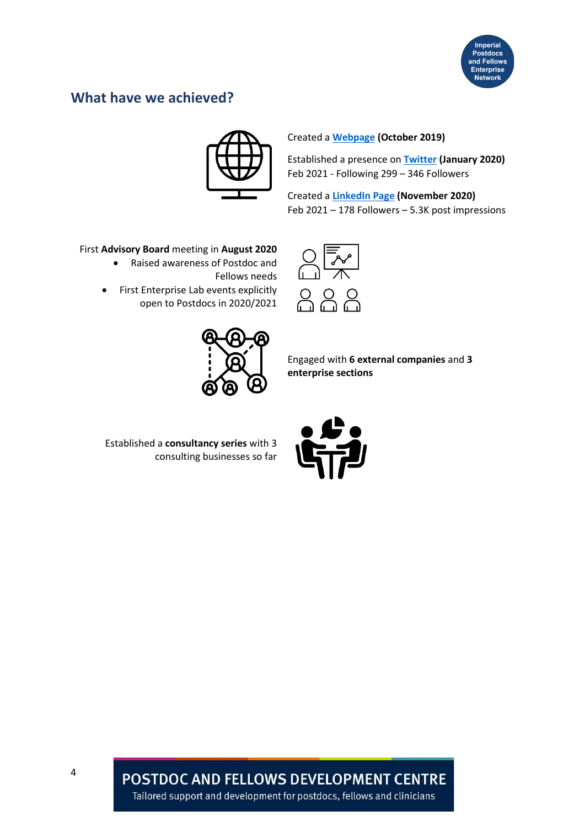

# **What have we achieved?**



#### Created a **[Webpage](https://www.imperial.ac.uk/postdoc-fellows-development-centre/networks-/ipfen/) (October 2019)**

Established a presence on **[Twitter](https://twitter.com/ImperialPFEN) (January 2020)** Feb 2021 - Following 299 – 346 Followers

Created a **[LinkedIn Page](https://www.linkedin.com/company/ipfen) (November 2020)**  Feb 2021 – 178 Followers – 5.3K post impressions

#### First **Advisory Board** meeting in **August 2020**

• Raised awareness of Postdoc and

Fellows needs

• First Enterprise Lab events explicitly open to Postdocs in 2020/2021



Engaged with **6 external companies** and **3 enterprise sections**

Established a **consultancy series** with 3 consulting businesses so far



**POSTDOC AND FELLOWS DEVELOPMENT CENTRE** Tailored support and development for postdocs, fellows and clinicians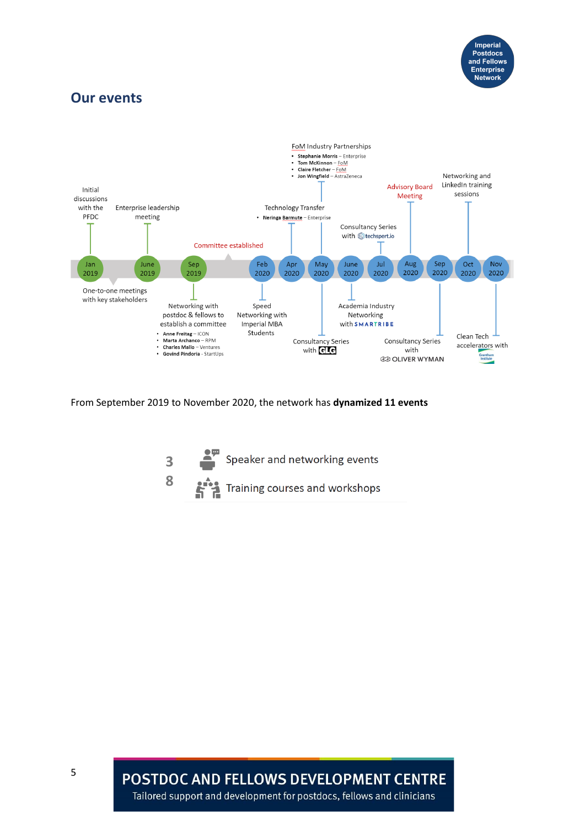

### **Our events**



From September 2019 to November 2020, the network has **dynamized 11 events**



**POSTDOC AND FELLOWS DEVELOPMENT CENTRE** 

Tailored support and development for postdocs, fellows and clinicians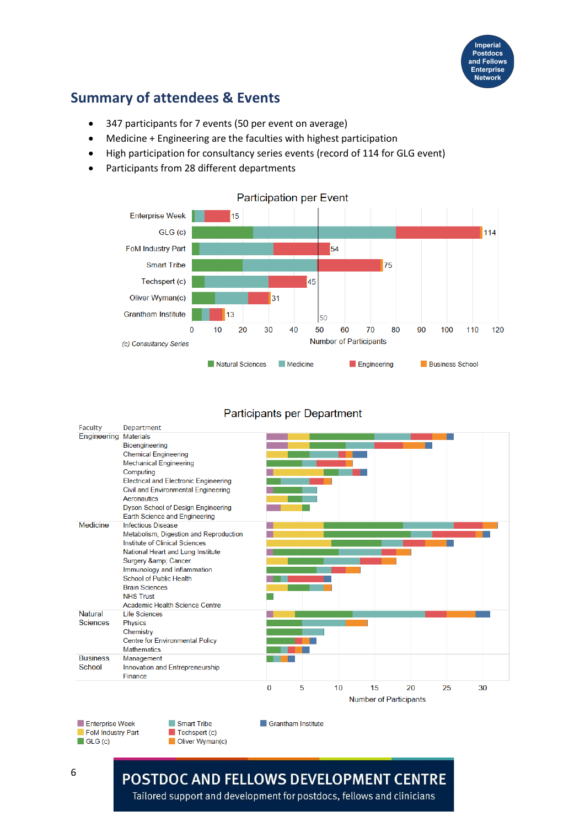

# **Summary of attendees & Events**

- 347 participants for 7 events (50 per event on average)
- Medicine + Engineering are the faculties with highest participation
- High participation for consultancy series events (record of 114 for GLG event)
- Participants from 28 different departments



#### **Participants per Department**

| Faculty         | Department                                   |                               |   |    |    |    |    |    |
|-----------------|----------------------------------------------|-------------------------------|---|----|----|----|----|----|
| Engineering     | <b>Materials</b>                             |                               |   |    |    |    |    |    |
|                 | Bioengineering                               |                               |   |    |    |    |    |    |
|                 | <b>Chemical Engineering</b>                  |                               |   |    |    |    |    |    |
|                 | <b>Mechanical Engineering</b>                |                               |   |    |    |    |    |    |
|                 | Computing                                    |                               |   |    |    |    |    |    |
|                 | <b>Electrical and Electronic Engineering</b> |                               |   |    |    |    |    |    |
|                 | Civil and Environmental Engineering          |                               |   |    |    |    |    |    |
|                 | Aeronautics                                  |                               |   |    |    |    |    |    |
|                 | Dyson School of Design Engineering           |                               |   |    |    |    |    |    |
|                 | Earth Science and Engineering                |                               |   |    |    |    |    |    |
| Medicine        | <b>Infectious Disease</b>                    |                               |   |    |    |    |    |    |
|                 | Metabolism, Digestion and Reproduction       |                               |   |    |    |    |    |    |
|                 | Institute of Clinical Sciences               |                               |   |    |    |    |    |    |
|                 | National Heart and Lung Institute            |                               |   |    |    |    |    |    |
|                 | Surgery & Cancer                             |                               |   |    |    |    |    |    |
|                 | Immunology and Inflammation                  |                               |   |    |    |    |    |    |
|                 | School of Public Health                      |                               |   |    |    |    |    |    |
|                 | <b>Brain Sciences</b>                        |                               |   |    |    |    |    |    |
|                 | <b>NHS Trust</b>                             |                               |   |    |    |    |    |    |
|                 | Academic Health Science Centre               |                               |   |    |    |    |    |    |
| <b>Natural</b>  | <b>Life Sciences</b>                         |                               |   |    |    |    |    |    |
| <b>Sciences</b> | <b>Physics</b>                               |                               |   |    |    |    |    |    |
|                 | Chemistry                                    |                               |   |    |    |    |    |    |
|                 | <b>Centre for Environmental Policy</b>       |                               |   |    |    |    |    |    |
|                 | <b>Mathematics</b>                           |                               |   |    |    |    |    |    |
| <b>Business</b> | Management                                   |                               |   |    |    |    |    |    |
| School          | Innovation and Entrepreneurship              |                               |   |    |    |    |    |    |
|                 | Finance                                      |                               |   |    |    |    |    |    |
|                 |                                              | $\bf{0}$                      | 5 | 10 | 15 | 20 | 25 | 30 |
|                 |                                              | <b>Number of Participants</b> |   |    |    |    |    |    |

Grantham Institute

Enterprise Week FoM Industry Part  $\blacksquare$  GLG (c)

Techspert (c) Oliver Wyman(c)

Smart Tribe

## **POSTDOC AND FELLOWS DEVELOPMENT CENTRE**

Tailored support and development for postdocs, fellows and clinicians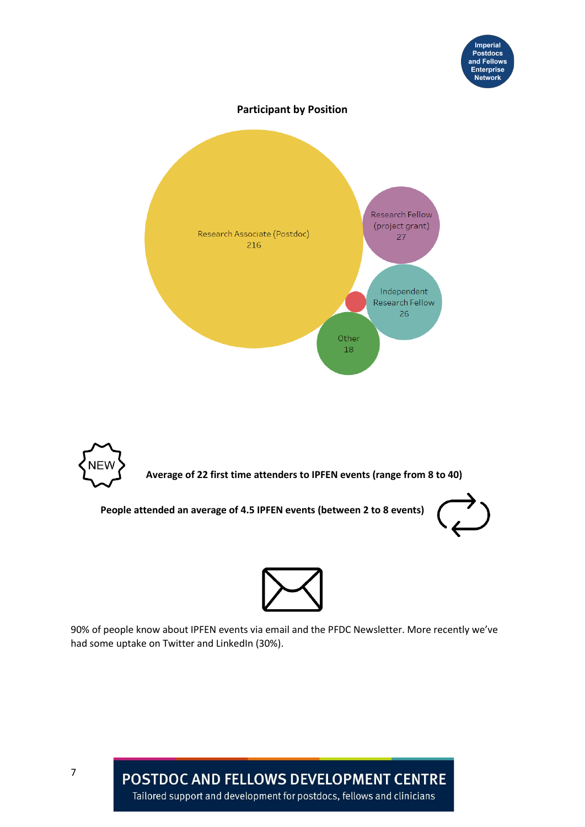

**Participant by Position**





**People attended an average of 4.5 IPFEN events (between 2 to 8 events)**





90% of people know about IPFEN events via email and the PFDC Newsletter. More recently we've had some uptake on Twitter and LinkedIn (30%).

> POSTDOC AND FELLOWS DEVELOPMENT CENTRE Tailored support and development for postdocs, fellows and clinicians